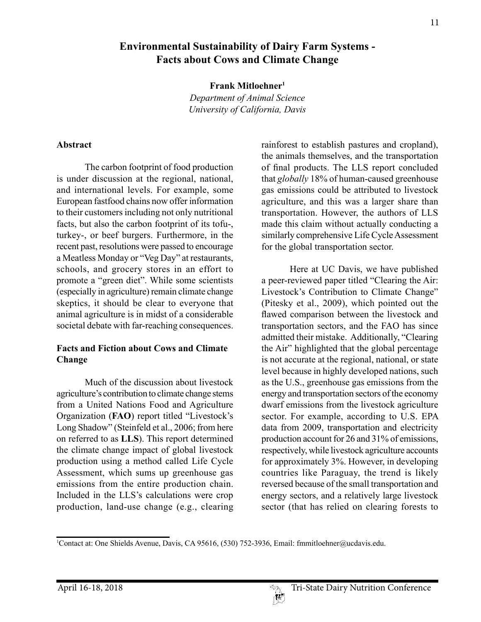# **Environmental Sustainability of Dairy Farm Systems - Facts about Cows and Climate Change**

**Frank Mitloehner1**

*Department of Animal Science University of California, Davis*

#### **Abstract**

The carbon footprint of food production is under discussion at the regional, national, and international levels. For example, some European fastfood chains now offer information to their customers including not only nutritional facts, but also the carbon footprint of its tofu-, turkey-, or beef burgers. Furthermore, in the recent past, resolutions were passed to encourage a Meatless Monday or "Veg Day" at restaurants, schools, and grocery stores in an effort to promote a "green diet". While some scientists (especially in agriculture) remain climate change skeptics, it should be clear to everyone that animal agriculture is in midst of a considerable societal debate with far-reaching consequences.

## **Facts and Fiction about Cows and Climate Change**

Much of the discussion about livestock agriculture's contribution to climate change stems from a United Nations Food and Agriculture Organization (**FAO**) report titled "Livestock's Long Shadow" (Steinfeld et al., 2006; from here on referred to as **LLS**). This report determined the climate change impact of global livestock production using a method called Life Cycle Assessment, which sums up greenhouse gas emissions from the entire production chain. Included in the LLS's calculations were crop production, land-use change (e.g., clearing rainforest to establish pastures and cropland), the animals themselves, and the transportation of final products. The LLS report concluded that *globally* 18% of human-caused greenhouse gas emissions could be attributed to livestock agriculture, and this was a larger share than transportation. However, the authors of LLS made this claim without actually conducting a similarly comprehensive Life Cycle Assessment for the global transportation sector.

Here at UC Davis, we have published a peer-reviewed paper titled "Clearing the Air: Livestock's Contribution to Climate Change" (Pitesky et al., 2009), which pointed out the flawed comparison between the livestock and transportation sectors, and the FAO has since admitted their mistake. Additionally, "Clearing the Air" highlighted that the global percentage is not accurate at the regional, national, or state level because in highly developed nations, such as the U.S., greenhouse gas emissions from the energy and transportation sectors of the economy dwarf emissions from the livestock agriculture sector. For example, according to U.S. EPA data from 2009, transportation and electricity production account for 26 and 31% of emissions, respectively, while livestock agriculture accounts for approximately 3%. However, in developing countries like Paraguay, the trend is likely reversed because of the small transportation and energy sectors, and a relatively large livestock sector (that has relied on clearing forests to

<sup>1</sup> Contact at: One Shields Avenue, Davis, CA 95616, (530) 752-3936, Email: fmmitloehner@ucdavis.edu.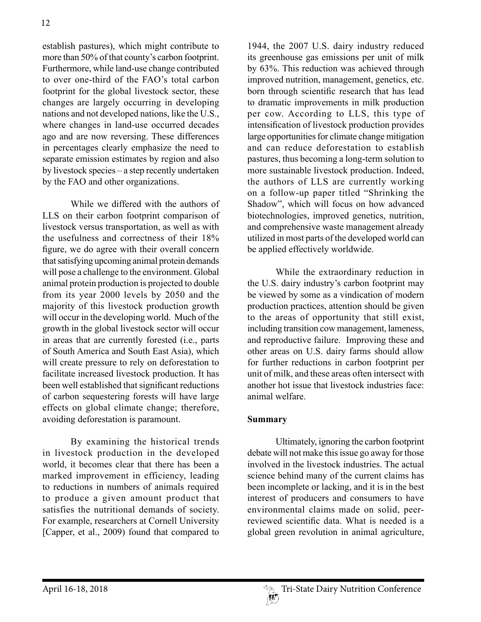establish pastures), which might contribute to more than 50% of that county's carbon footprint. Furthermore, while land-use change contributed to over one-third of the FAO's total carbon footprint for the global livestock sector, these changes are largely occurring in developing nations and not developed nations, like the U.S., where changes in land-use occurred decades ago and are now reversing. These differences in percentages clearly emphasize the need to separate emission estimates by region and also by livestock species – a step recently undertaken by the FAO and other organizations.

While we differed with the authors of LLS on their carbon footprint comparison of livestock versus transportation, as well as with the usefulness and correctness of their 18% figure, we do agree with their overall concern that satisfying upcoming animal protein demands will pose a challenge to the environment. Global animal protein production is projected to double from its year 2000 levels by 2050 and the majority of this livestock production growth will occur in the developing world. Much of the growth in the global livestock sector will occur in areas that are currently forested (i.e., parts of South America and South East Asia), which will create pressure to rely on deforestation to facilitate increased livestock production. It has been well established that significant reductions of carbon sequestering forests will have large effects on global climate change; therefore, avoiding deforestation is paramount.

By examining the historical trends in livestock production in the developed world, it becomes clear that there has been a marked improvement in efficiency, leading to reductions in numbers of animals required to produce a given amount product that satisfies the nutritional demands of society. For example, researchers at Cornell University [Capper, et al., 2009) found that compared to

1944, the 2007 U.S. dairy industry reduced its greenhouse gas emissions per unit of milk by 63%. This reduction was achieved through improved nutrition, management, genetics, etc. born through scientific research that has lead to dramatic improvements in milk production per cow. According to LLS, this type of intensification of livestock production provides large opportunities for climate change mitigation and can reduce deforestation to establish pastures, thus becoming a long-term solution to more sustainable livestock production. Indeed, the authors of LLS are currently working on a follow-up paper titled "Shrinking the Shadow", which will focus on how advanced biotechnologies, improved genetics, nutrition, and comprehensive waste management already utilized in most parts of the developed world can be applied effectively worldwide.

While the extraordinary reduction in the U.S. dairy industry's carbon footprint may be viewed by some as a vindication of modern production practices, attention should be given to the areas of opportunity that still exist, including transition cow management, lameness, and reproductive failure. Improving these and other areas on U.S. dairy farms should allow for further reductions in carbon footprint per unit of milk, and these areas often intersect with another hot issue that livestock industries face: animal welfare.

### **Summary**

Ultimately, ignoring the carbon footprint debate will not make this issue go away for those involved in the livestock industries. The actual science behind many of the current claims has been incomplete or lacking, and it is in the best interest of producers and consumers to have environmental claims made on solid, peerreviewed scientific data. What is needed is a global green revolution in animal agriculture,